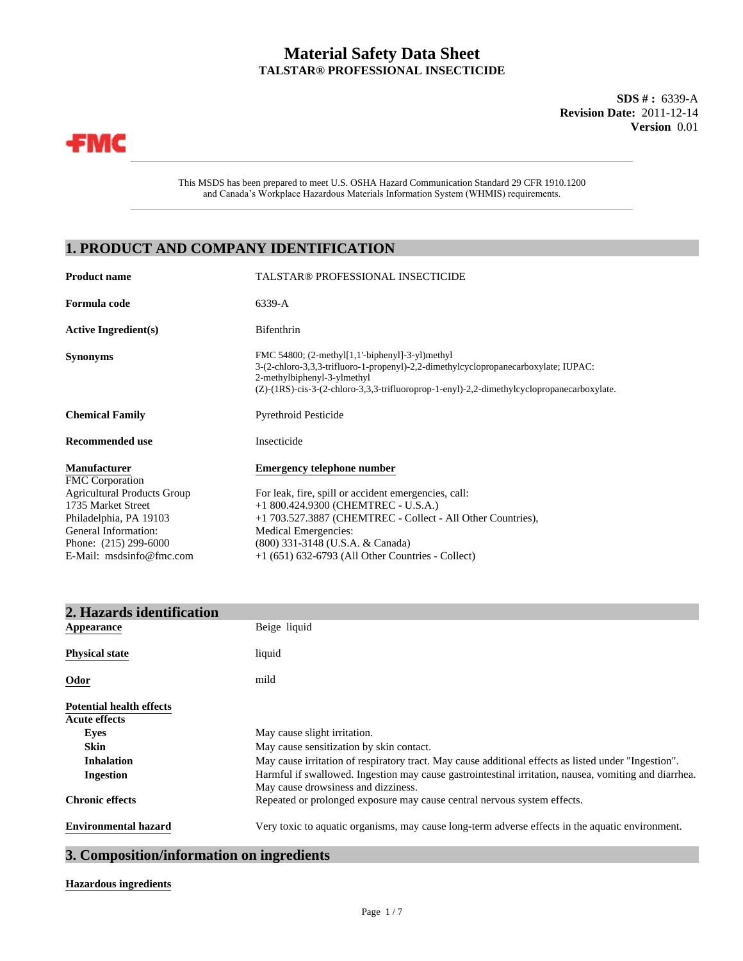## **Material Safety Data Sheet TALSTAR® PROFESSIONAL INSECTICIDE**

**Version** 0.01 **SDS # :** 6339-A **Revision Date:** 2011-12-14



This MSDS has been prepared to meet U.S. OSHA Hazard Communication Standard 29 CFR 1910.1200 and Canada's Workplace Hazardous Materials Information System (WHMIS) requirements.

 $\_$  , and the set of the set of the set of the set of the set of the set of the set of the set of the set of the set of the set of the set of the set of the set of the set of the set of the set of the set of the set of th

\_\_\_\_\_\_\_\_\_\_\_\_\_\_\_\_\_\_\_\_\_\_\_\_\_\_\_\_\_\_\_\_\_\_\_\_\_\_\_\_\_\_\_\_\_\_\_\_\_\_\_\_\_\_\_\_\_\_\_\_\_\_\_\_\_\_\_\_\_\_\_\_\_\_\_\_\_\_\_\_\_\_\_\_\_\_\_\_\_\_\_\_\_

## **1. PRODUCT AND COMPANY IDENTIFICATION**

| <b>Product name</b>                           | <b>TALSTAR® PROFESSIONAL INSECTICIDE</b>                                                                                                                                                                                                                               |  |
|-----------------------------------------------|------------------------------------------------------------------------------------------------------------------------------------------------------------------------------------------------------------------------------------------------------------------------|--|
| Formula code                                  | 6339-A                                                                                                                                                                                                                                                                 |  |
| <b>Active Ingredient(s)</b>                   | Bifenthrin                                                                                                                                                                                                                                                             |  |
| <b>Synonyms</b>                               | FMC 54800; $(2-methyl[1,1'-bipheny1]-3-yl)$ methyl<br>3-(2-chloro-3,3,3-trifluoro-1-propenyl)-2,2-dimethylcyclopropanecarboxylate; IUPAC:<br>2-methylbiphenyl-3-ylmethyl<br>(Z)-(1RS)-cis-3-(2-chloro-3,3,3-trifluoroprop-1-enyl)-2,2-dimethylcyclopropanecarboxylate. |  |
| <b>Chemical Family</b>                        | <b>Pyrethroid Pesticide</b>                                                                                                                                                                                                                                            |  |
| <b>Recommended use</b>                        | Insecticide                                                                                                                                                                                                                                                            |  |
| <b>Manufacturer</b><br><b>FMC</b> Corporation | <b>Emergency telephone number</b>                                                                                                                                                                                                                                      |  |
| <b>Agricultural Products Group</b>            | For leak, fire, spill or accident emergencies, call:                                                                                                                                                                                                                   |  |
| 1735 Market Street                            | +1 800.424.9300 (CHEMTREC - U.S.A.)                                                                                                                                                                                                                                    |  |
| Philadelphia, PA 19103                        | +1 703.527.3887 (CHEMTREC - Collect - All Other Countries),                                                                                                                                                                                                            |  |
| General Information:                          | Medical Emergencies:                                                                                                                                                                                                                                                   |  |
| Phone: $(215)$ 299-6000                       | (800) 331-3148 (U.S.A. & Canada)                                                                                                                                                                                                                                       |  |
| E-Mail: msdsinfo@fmc.com                      | $+1$ (651) 632-6793 (All Other Countries - Collect)                                                                                                                                                                                                                    |  |

| 2. Hazards identification       |                                                                                                       |
|---------------------------------|-------------------------------------------------------------------------------------------------------|
| Appearance                      | Beige liquid                                                                                          |
| <b>Physical state</b>           | liquid                                                                                                |
| Odor                            | mild                                                                                                  |
| <b>Potential health effects</b> |                                                                                                       |
| Acute effects                   |                                                                                                       |
| Eyes                            | May cause slight irritation.                                                                          |
| <b>Skin</b>                     | May cause sensitization by skin contact.                                                              |
| <b>Inhalation</b>               | May cause irritation of respiratory tract. May cause additional effects as listed under "Ingestion".  |
| <b>Ingestion</b>                | Harmful if swallowed. Ingestion may cause gastrointestinal irritation, nausea, vomiting and diarrhea. |
|                                 | May cause drowsiness and dizziness.                                                                   |
| <b>Chronic effects</b>          | Repeated or prolonged exposure may cause central nervous system effects.                              |
| <b>Environmental hazard</b>     | Very toxic to aquatic organisms, may cause long-term adverse effects in the aquatic environment.      |

## **3. Composition/information on ingredients**

#### **Hazardous ingredients**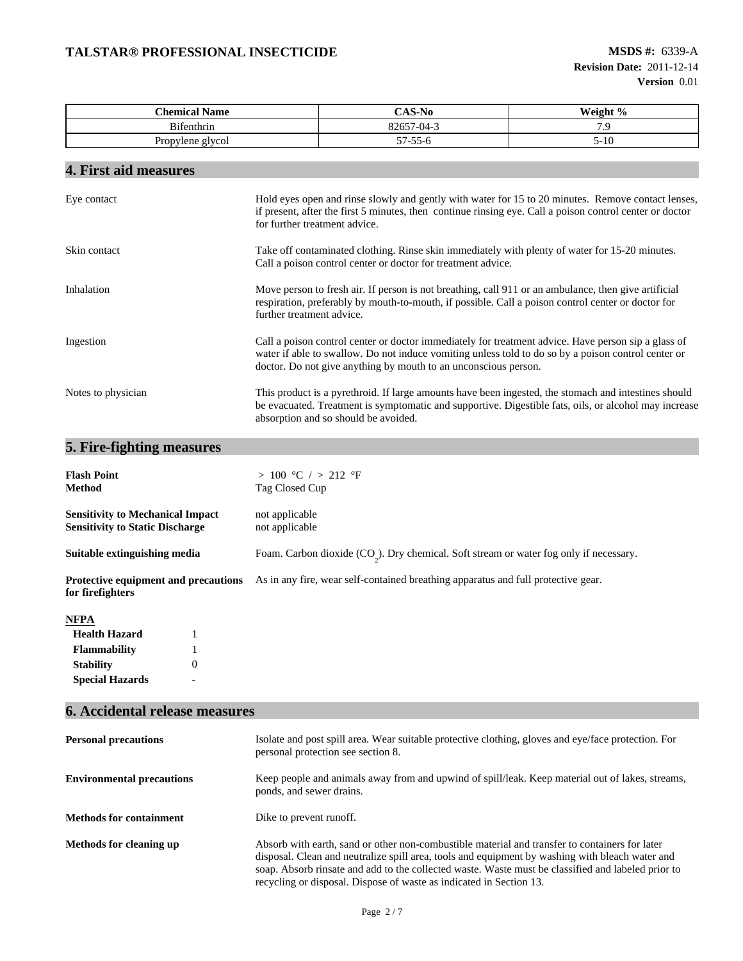| <b>Chemical Name</b> | $S-N0$                 | Weight % |
|----------------------|------------------------|----------|
| Bifenthrin           | 00657<br>$-04-3$       |          |
| Propylene glycol     | --<br>$1 - 55$<br>-- ت | $2-1$    |

# **4. First aid measures**

| Eye contact        | Hold eyes open and rinse slowly and gently with water for 15 to 20 minutes. Remove contact lenses,<br>if present, after the first 5 minutes, then continue rinsing eye. Call a poison control center or doctor<br>for further treatment advice.                               |
|--------------------|-------------------------------------------------------------------------------------------------------------------------------------------------------------------------------------------------------------------------------------------------------------------------------|
| Skin contact       | Take off contaminated clothing. Rinse skin immediately with plenty of water for 15-20 minutes.<br>Call a poison control center or doctor for treatment advice.                                                                                                                |
| Inhalation         | Move person to fresh air. If person is not breathing, call 911 or an ambulance, then give artificial<br>respiration, preferably by mouth-to-mouth, if possible. Call a poison control center or doctor for<br>further treatment advice.                                       |
| Ingestion          | Call a poison control center or doctor immediately for treatment advice. Have person sip a glass of<br>water if able to swallow. Do not induce vomiting unless told to do so by a poison control center or<br>doctor. Do not give anything by mouth to an unconscious person. |
| Notes to physician | This product is a pyrethroid. If large amounts have been ingested, the stomach and intestines should<br>be evacuated. Treatment is symptomatic and supportive. Digestible fats, oils, or alcohol may increase<br>absorption and so should be avoided.                         |

# **5. Fire-fighting measures**

| <b>Flash Point</b><br><b>Method</b>                                               |  | > 100 °C / > 212 °F<br>Tag Closed Cup                                                     |
|-----------------------------------------------------------------------------------|--|-------------------------------------------------------------------------------------------|
| <b>Sensitivity to Mechanical Impact</b><br><b>Sensitivity to Static Discharge</b> |  | not applicable<br>not applicable                                                          |
| Suitable extinguishing media                                                      |  | Foam. Carbon dioxide $(CO_2)$ . Dry chemical. Soft stream or water fog only if necessary. |
| <b>Protective equipment and precautions</b><br>for firefighters                   |  | As in any fire, wear self-contained breathing apparatus and full protective gear.         |
| <b>NFPA</b>                                                                       |  |                                                                                           |
| <b>Health Hazard</b><br>1                                                         |  |                                                                                           |
| <b>Flammability</b>                                                               |  |                                                                                           |
| $\overline{0}$<br><b>Stability</b>                                                |  |                                                                                           |
| <b>Special Hazards</b><br>$\overline{\phantom{0}}$                                |  |                                                                                           |

# **6. Accidental release measures**

| <b>Personal precautions</b>      | Isolate and post spill area. Wear suitable protective clothing, gloves and eye/face protection. For<br>personal protection see section 8.                                                                                                                                                                                                                                      |
|----------------------------------|--------------------------------------------------------------------------------------------------------------------------------------------------------------------------------------------------------------------------------------------------------------------------------------------------------------------------------------------------------------------------------|
| <b>Environmental precautions</b> | Keep people and animals away from and upwind of spill/leak. Keep material out of lakes, streams,<br>ponds, and sewer drains.                                                                                                                                                                                                                                                   |
| <b>Methods for containment</b>   | Dike to prevent runoff.                                                                                                                                                                                                                                                                                                                                                        |
| Methods for cleaning up          | Absorb with earth, sand or other non-combustible material and transfer to containers for later<br>disposal. Clean and neutralize spill area, tools and equipment by washing with bleach water and<br>soap. Absorb rinsate and add to the collected waste. Waste must be classified and labeled prior to<br>recycling or disposal. Dispose of waste as indicated in Section 13. |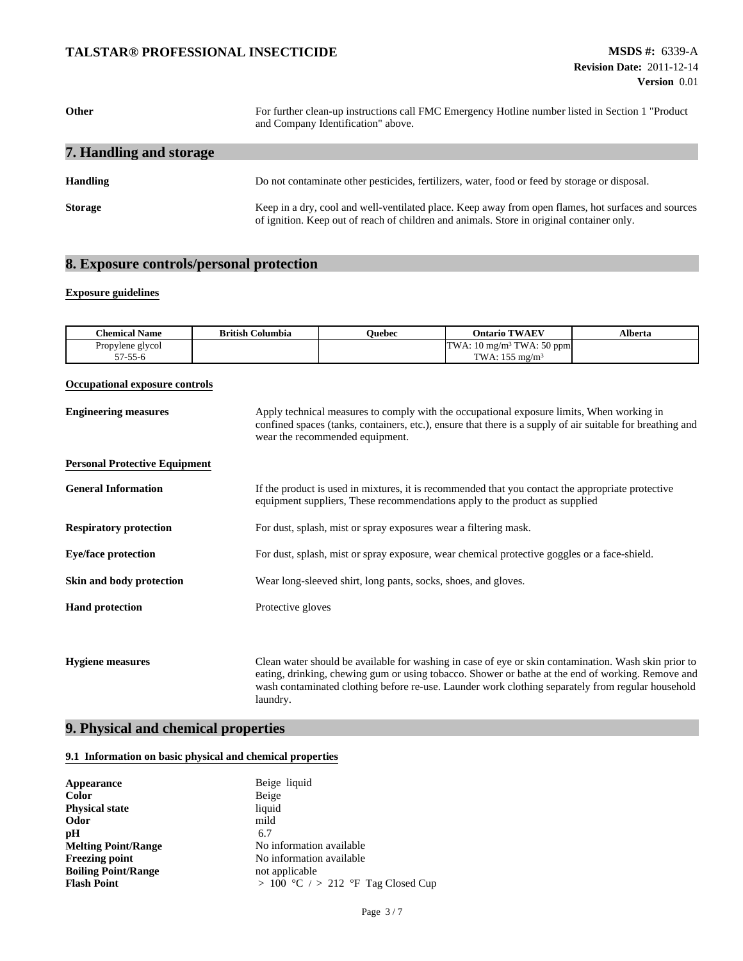| Other                   | For further clean-up instructions call FMC Emergency Hotline number listed in Section 1 "Product"<br>and Company Identification" above.                                                          |  |
|-------------------------|--------------------------------------------------------------------------------------------------------------------------------------------------------------------------------------------------|--|
| 7. Handling and storage |                                                                                                                                                                                                  |  |
| <b>Handling</b>         | Do not contaminate other pesticides, fertilizers, water, food or feed by storage or disposal.                                                                                                    |  |
| <b>Storage</b>          | Keep in a dry, cool and well-ventilated place. Keep away from open flames, hot surfaces and sources<br>of ignition. Keep out of reach of children and animals. Store in original container only. |  |

# **8. Exposure controls/personal protection**

#### **Exposure guidelines**

| <b>Chemical Name</b> | <b>British Columbia</b> | <b>Duebec</b> | <b>Ontario TWAEV</b>                  | <b>\lberta</b> |
|----------------------|-------------------------|---------------|---------------------------------------|----------------|
| Propylene glycol     |                         |               | TWA: 10 mg/m <sup>3</sup> TWA: 50 ppm |                |
| 57-55-6              |                         |               | TWA: $155 \text{ me/m}^3$             |                |

#### **Occupational exposure controls**

| <b>Engineering measures</b>          | Apply technical measures to comply with the occupational exposure limits, When working in<br>confined spaces (tanks, containers, etc.), ensure that there is a supply of air suitable for breathing and<br>wear the recommended equipment.                                                                                 |  |
|--------------------------------------|----------------------------------------------------------------------------------------------------------------------------------------------------------------------------------------------------------------------------------------------------------------------------------------------------------------------------|--|
| <b>Personal Protective Equipment</b> |                                                                                                                                                                                                                                                                                                                            |  |
| <b>General Information</b>           | If the product is used in mixtures, it is recommended that you contact the appropriate protective<br>equipment suppliers, These recommendations apply to the product as supplied                                                                                                                                           |  |
| <b>Respiratory protection</b>        | For dust, splash, mist or spray exposures wear a filtering mask.                                                                                                                                                                                                                                                           |  |
| <b>Eye/face protection</b>           | For dust, splash, mist or spray exposure, wear chemical protective goggles or a face-shield.                                                                                                                                                                                                                               |  |
| Skin and body protection             | Wear long-sleeved shirt, long pants, socks, shoes, and gloves.                                                                                                                                                                                                                                                             |  |
| <b>Hand protection</b>               | Protective gloves                                                                                                                                                                                                                                                                                                          |  |
|                                      |                                                                                                                                                                                                                                                                                                                            |  |
| <b>Hygiene measures</b>              | Clean water should be available for washing in case of eye or skin contamination. Wash skin prior to<br>eating, drinking, chewing gum or using tobacco. Shower or bathe at the end of working. Remove and<br>wash contaminated clothing before re-use. Launder work clothing separately from regular household<br>laundry. |  |

## **9. Physical and chemical properties**

#### **9.1 Information on basic physical and chemical properties**

| Appearance                 | Beige liquid                       |
|----------------------------|------------------------------------|
| Color                      | Beige                              |
| <b>Physical state</b>      | liquid                             |
| Odor                       | mild                               |
| pН                         | 6.7                                |
| <b>Melting Point/Range</b> | No information available           |
| <b>Freezing point</b>      | No information available           |
| <b>Boiling Point/Range</b> | not applicable                     |
| <b>Flash Point</b>         | > 100 °C / > 212 °F Tag Closed Cup |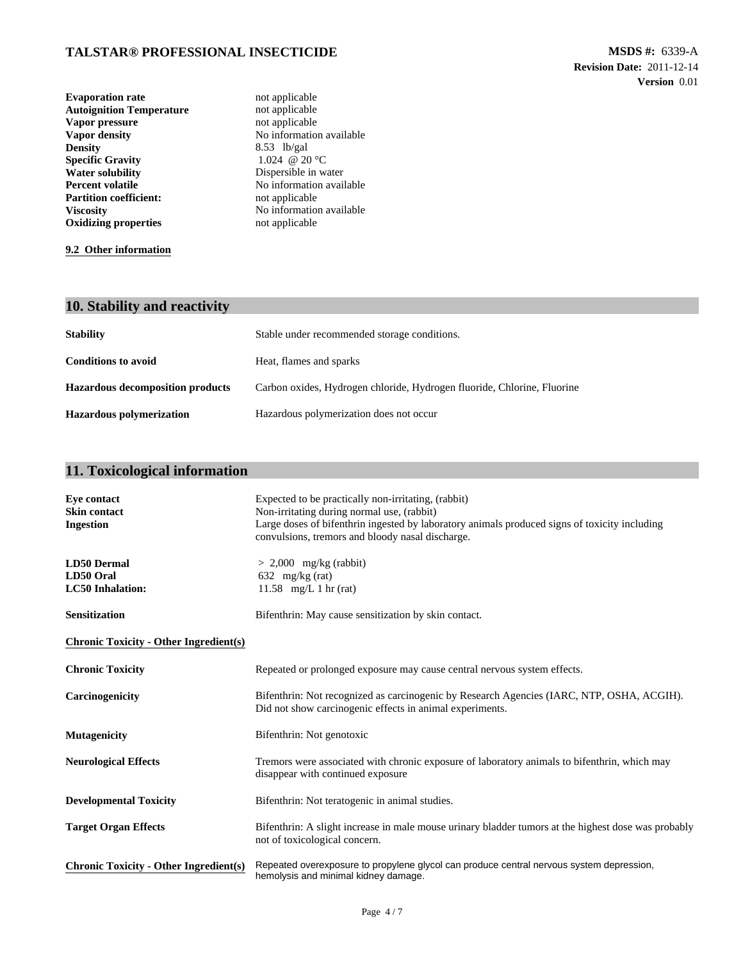| <b>Evaporation rate</b>         | not applicable           |
|---------------------------------|--------------------------|
| <b>Autoignition Temperature</b> | not applicable           |
| Vapor pressure                  | not applicable           |
| Vapor density                   | No information available |
| <b>Density</b>                  | $8.53$ lb/gal            |
| <b>Specific Gravity</b>         | 1.024 @ 20 °C            |
| <b>Water solubility</b>         | Dispersible in water     |
| <b>Percent volatile</b>         | No information available |
| <b>Partition coefficient:</b>   | not applicable           |
| <b>Viscosity</b>                | No information available |
| <b>Oxidizing properties</b>     | not applicable           |

**9.2 Other information**

# **10. Stability and reactivity**

| <b>Stability</b>                        | Stable under recommended storage conditions.                            |
|-----------------------------------------|-------------------------------------------------------------------------|
| <b>Conditions to avoid</b>              | Heat, flames and sparks                                                 |
| <b>Hazardous decomposition products</b> | Carbon oxides, Hydrogen chloride, Hydrogen fluoride, Chlorine, Fluorine |
| Hazardous polymerization                | Hazardous polymerization does not occur                                 |

# **11. Toxicological information**

| Eve contact<br><b>Skin contact</b><br><b>Ingestion</b>     | Expected to be practically non-irritating, (rabbit)<br>Non-irritating during normal use, (rabbit)<br>Large doses of bifenthrin ingested by laboratory animals produced signs of toxicity including<br>convulsions, tremors and bloody nasal discharge. |  |  |
|------------------------------------------------------------|--------------------------------------------------------------------------------------------------------------------------------------------------------------------------------------------------------------------------------------------------------|--|--|
| <b>LD50 Dermal</b><br>LD50 Oral<br><b>LC50</b> Inhalation: | $> 2,000$ mg/kg (rabbit)<br>632 mg/kg (rat)<br>11.58 mg/L 1 hr (rat)                                                                                                                                                                                   |  |  |
| <b>Sensitization</b>                                       | Bifenthrin: May cause sensitization by skin contact.                                                                                                                                                                                                   |  |  |
| <b>Chronic Toxicity - Other Ingredient(s)</b>              |                                                                                                                                                                                                                                                        |  |  |
| <b>Chronic Toxicity</b>                                    | Repeated or prolonged exposure may cause central nervous system effects.                                                                                                                                                                               |  |  |
| Carcinogenicity                                            | Bifenthrin: Not recognized as carcinogenic by Research Agencies (IARC, NTP, OSHA, ACGIH).<br>Did not show carcinogenic effects in animal experiments.                                                                                                  |  |  |
| <b>Mutagenicity</b>                                        | Bifenthrin: Not genotoxic                                                                                                                                                                                                                              |  |  |
| <b>Neurological Effects</b>                                | Tremors were associated with chronic exposure of laboratory animals to bifenthrin, which may<br>disappear with continued exposure                                                                                                                      |  |  |
| <b>Developmental Toxicity</b>                              | Bifenthrin: Not teratogenic in animal studies.                                                                                                                                                                                                         |  |  |
| <b>Target Organ Effects</b>                                | Bifenthrin: A slight increase in male mouse urinary bladder tumors at the highest dose was probably<br>not of toxicological concern.                                                                                                                   |  |  |
| <b>Chronic Toxicity - Other Ingredient(s)</b>              | Repeated overexposure to propylene glycol can produce central nervous system depression,<br>hemolysis and minimal kidney damage.                                                                                                                       |  |  |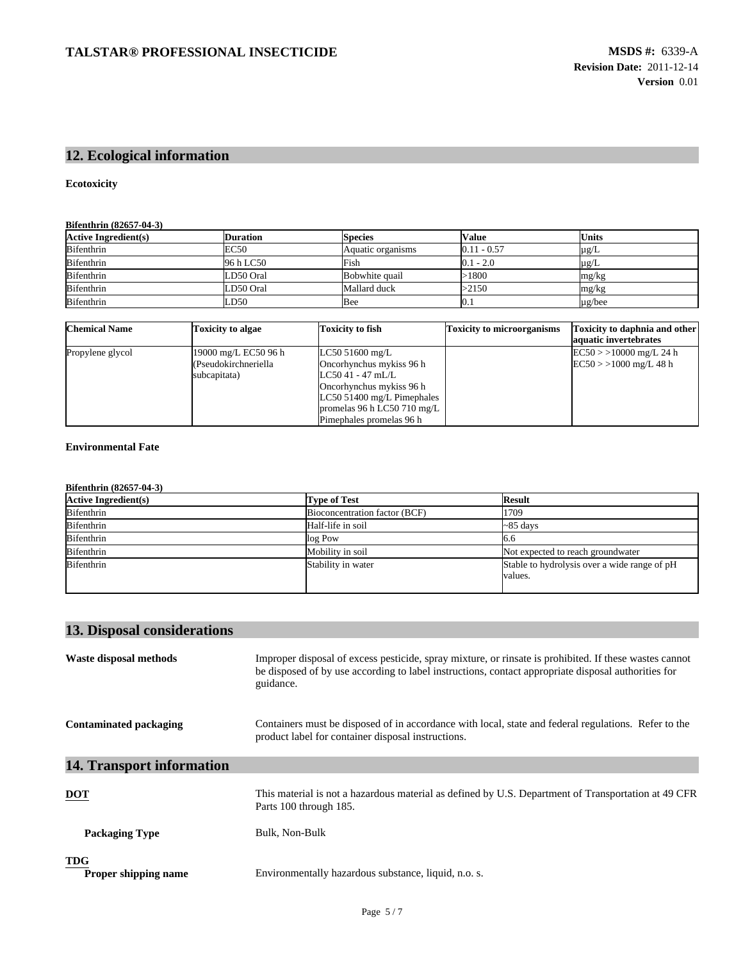# **12. Ecological information**

#### **Ecotoxicity**

#### **Bifenthrin (82657-04-3)**

| <b>Active Ingredient(s)</b> | <b>Duration</b> | <b>Species</b>    | <b>Value</b>  | <b>Units</b> |
|-----------------------------|-----------------|-------------------|---------------|--------------|
| <b>Bifenthrin</b>           | EC50            | Aquatic organisms | $0.11 - 0.57$ | $\mu$ g/L    |
| <b>Bifenthrin</b>           | 96 h LC50       | Fish              | $0.1 - 2.0$   | $\mu$ g/L    |
| <b>Bifenthrin</b>           | LD50 Oral       | Bobwhite quail    | $-1800$       | mg/kg        |
| <b>Bifenthrin</b>           | LD50 Oral       | Mallard duck      | >2150         | mg/kg        |
| <b>Bifenthrin</b>           | LD50            | Bee               | U. 1          | $\mu$ g/bee  |

| <b>Chemical Name</b> | Toxicity to algae    | Toxicity to fish             | <b>Toxicity to microorganisms</b> | <b>Toxicity to daphnia and other</b><br>aquatic invertebrates |
|----------------------|----------------------|------------------------------|-----------------------------------|---------------------------------------------------------------|
| Propylene glycol     | 19000 mg/L EC50 96 h | LC50 51600 mg/L              |                                   | $EC50$ > > 10000 mg/L 24 h                                    |
|                      | (Pseudokirchneriella | Oncorhynchus mykiss 96 h     |                                   | $EC50$ > > 1000 mg/L 48 h                                     |
|                      | subcapitata)         | $LC5041 - 47$ mL/L           |                                   |                                                               |
|                      |                      | Oncorhynchus mykiss 96 h     |                                   |                                                               |
|                      |                      | $LC50$ 51400 mg/L Pimephales |                                   |                                                               |
|                      |                      | promelas 96 h LC50 710 mg/L  |                                   |                                                               |
|                      |                      | Pimephales promelas 96 h     |                                   |                                                               |

#### **Environmental Fate**

| <b>Active Ingredient(s)</b> | <b>Type of Test</b>           | <b>Result</b>                                           |
|-----------------------------|-------------------------------|---------------------------------------------------------|
| Bifenthrin                  | Bioconcentration factor (BCF) | 1709                                                    |
| Bifenthrin                  | Half-life in soil             | $\sim$ 85 days                                          |
| Bifenthrin                  | log Pow                       | 6.6                                                     |
| Bifenthrin                  | Mobility in soil              | Not expected to reach groundwater                       |
| Bifenthrin                  | Stability in water            | Stable to hydrolysis over a wide range of pH<br>values. |

# **13. Disposal considerations**

| Waste disposal methods             | Improper disposal of excess pesticide, spray mixture, or rinsate is prohibited. If these wastes cannot<br>be disposed of by use according to label instructions, contact appropriate disposal authorities for<br>guidance. |
|------------------------------------|----------------------------------------------------------------------------------------------------------------------------------------------------------------------------------------------------------------------------|
| Contaminated packaging             | Containers must be disposed of in accordance with local, state and federal regulations. Refer to the<br>product label for container disposal instructions.                                                                 |
| <b>14. Transport information</b>   |                                                                                                                                                                                                                            |
| $\underline{\mathbf{DOT}}$         | This material is not a hazardous material as defined by U.S. Department of Transportation at 49 CFR<br>Parts 100 through 185.                                                                                              |
| <b>Packaging Type</b>              | Bulk, Non-Bulk                                                                                                                                                                                                             |
| <b>TDG</b><br>Proper shipping name | Environmentally hazardous substance, liquid, n.o. s.                                                                                                                                                                       |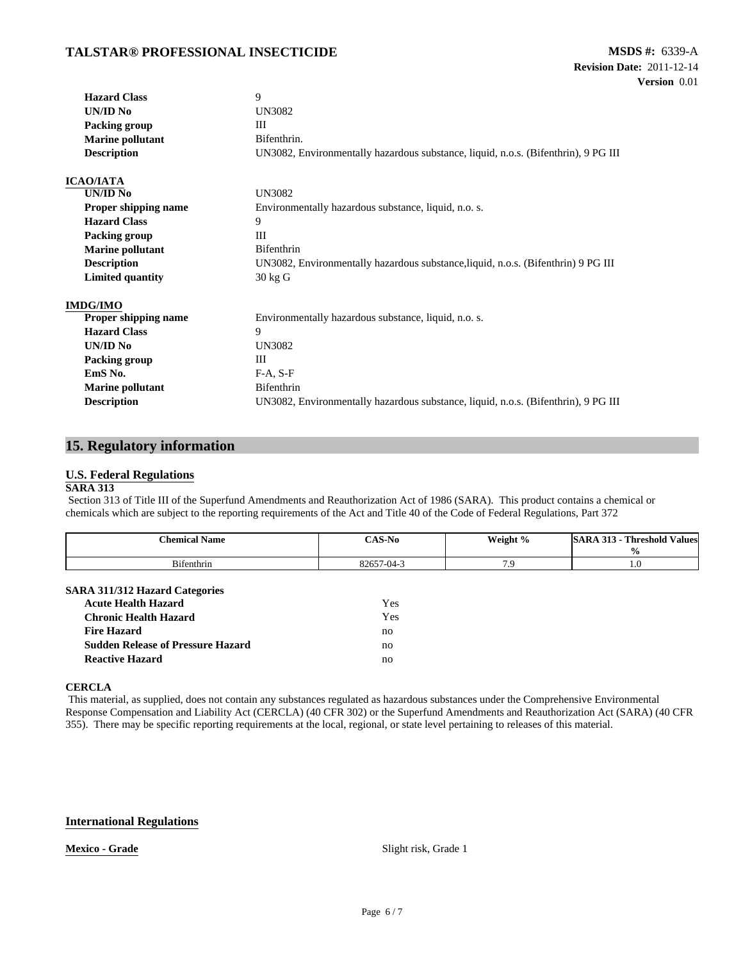| <b>Hazard Class</b>         | 9                                                                                  |  |  |
|-----------------------------|------------------------------------------------------------------------------------|--|--|
| UN/ID No                    | UN3082                                                                             |  |  |
| Packing group               | III                                                                                |  |  |
| <b>Marine pollutant</b>     | Bifenthrin.                                                                        |  |  |
| <b>Description</b>          | UN3082, Environmentally hazardous substance, liquid, n.o.s. (Bifenthrin), 9 PG III |  |  |
| <b>ICAO/IATA</b>            |                                                                                    |  |  |
| UN/ID No                    | <b>UN3082</b>                                                                      |  |  |
| <b>Proper shipping name</b> | Environmentally hazardous substance, liquid, n.o. s.                               |  |  |
| <b>Hazard Class</b>         | 9                                                                                  |  |  |
| Packing group               | Ш                                                                                  |  |  |
| <b>Marine pollutant</b>     | Bifenthrin                                                                         |  |  |
| <b>Description</b>          | UN3082, Environmentally hazardous substance, liquid, n.o.s. (Bifenthrin) 9 PG III  |  |  |
| <b>Limited quantity</b>     | $30 \text{ kg}$ G                                                                  |  |  |
| <b>IMDG/IMO</b>             |                                                                                    |  |  |
| Proper shipping name        | Environmentally hazardous substance, liquid, n.o. s.                               |  |  |
| <b>Hazard Class</b>         | 9                                                                                  |  |  |
| UN/ID No                    | <b>UN3082</b>                                                                      |  |  |
| Packing group               | Ш                                                                                  |  |  |
| EmS <sub>No.</sub>          | $F-A, S-F$                                                                         |  |  |
| <b>Marine pollutant</b>     | Bifenthrin                                                                         |  |  |
| <b>Description</b>          | UN3082, Environmentally hazardous substance, liquid, n.o.s. (Bifenthrin), 9 PG III |  |  |

## **15. Regulatory information**

#### **U.S. Federal Regulations**

#### **SARA 313**

Section 313 of Title III of the Superfund Amendments and Reauthorization Act of 1986 (SARA). This product contains a chemical or chemicals which are subject to the reporting requirements of the Act and Title 40 of the Code of Federal Regulations, Part 372

|            |            | Weight % | - Threshold Values<br>$\mathbf{0}$ |
|------------|------------|----------|------------------------------------|
| Bifenthrin | 82657-04-3 | .        | 1.U                                |

#### **SARA 311/312 Hazard Categories**

| <b>Acute Health Hazard</b>               | Yes |
|------------------------------------------|-----|
| Chronic Health Hazard                    | Yes |
| <b>Fire Hazard</b>                       | no  |
| <b>Sudden Release of Pressure Hazard</b> | no  |
| <b>Reactive Hazard</b>                   | no  |

#### **CERCLA**

This material, as supplied, does not contain any substances regulated as hazardous substances under the Comprehensive Environmental Response Compensation and Liability Act (CERCLA) (40 CFR 302) or the Superfund Amendments and Reauthorization Act (SARA) (40 CFR 355). There may be specific reporting requirements at the local, regional, or state level pertaining to releases of this material.

#### **International Regulations**

**Mexico - Grade** Slight risk, Grade 1